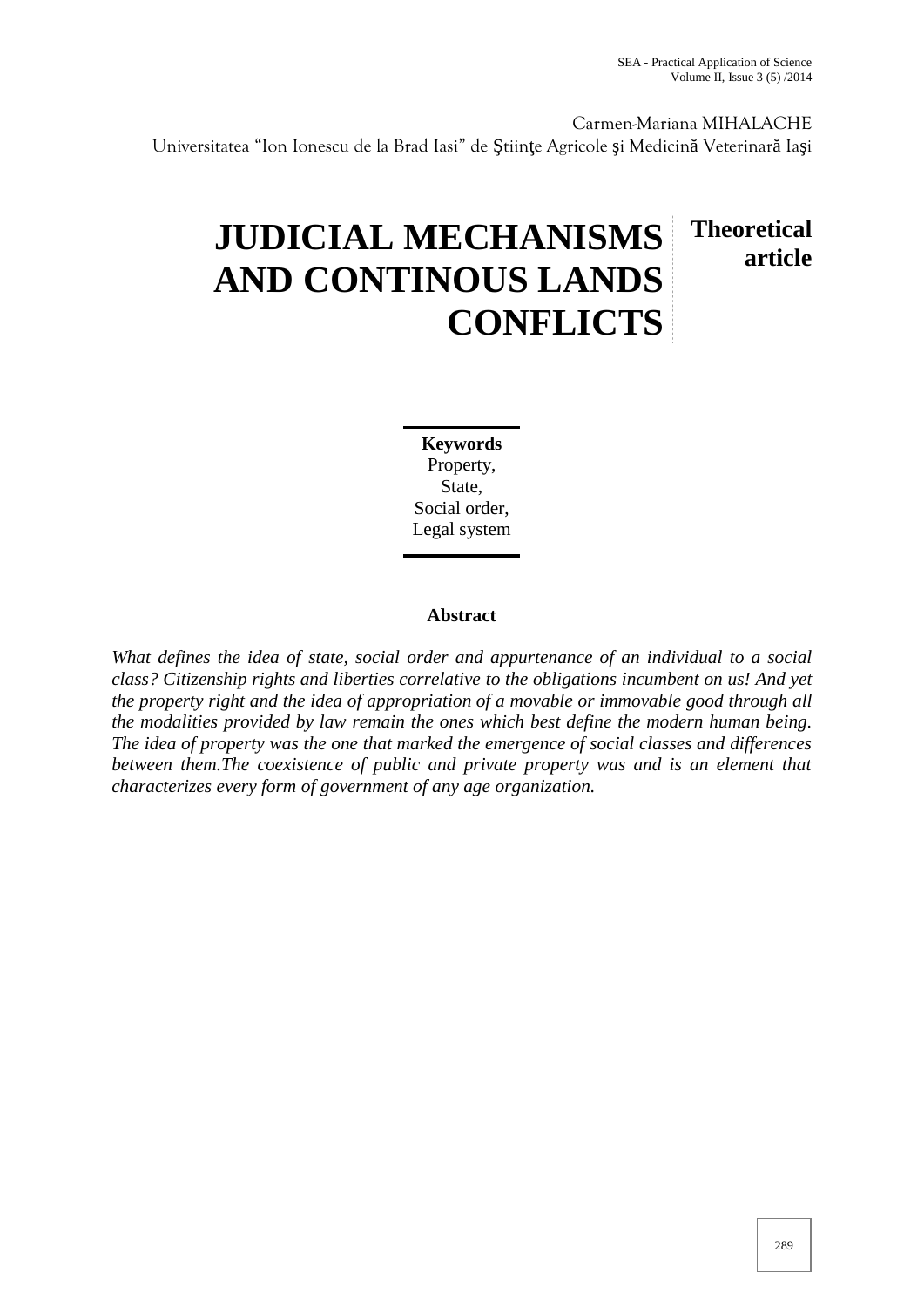Carmen-Mariana MIHALACHE

Universitatea "Ion Ionescu de la Brad Iasi" de tiin e Agricole i Medicin Veterinar Ia i

## **JUDICIAL MECHANISMS AND CONTINOUS LANDS CONFLICTS Theoretical article**

**Keywords** Property, State, Social order, Legal system

## **Abstract**

*What defines the idea of state, social order and appurtenance of an individual to a social class? Citizenship rights and liberties correlative to the obligations incumbent on us! And yet the property right and the idea of appropriation of a movable or immovable good through all the modalities provided by law remain the ones which best define the modern human being. The idea of property was the one that marked the emergence of social classes and differences between them.The coexistence of public and private property was and is an element that characterizes every form of government of any age organization.*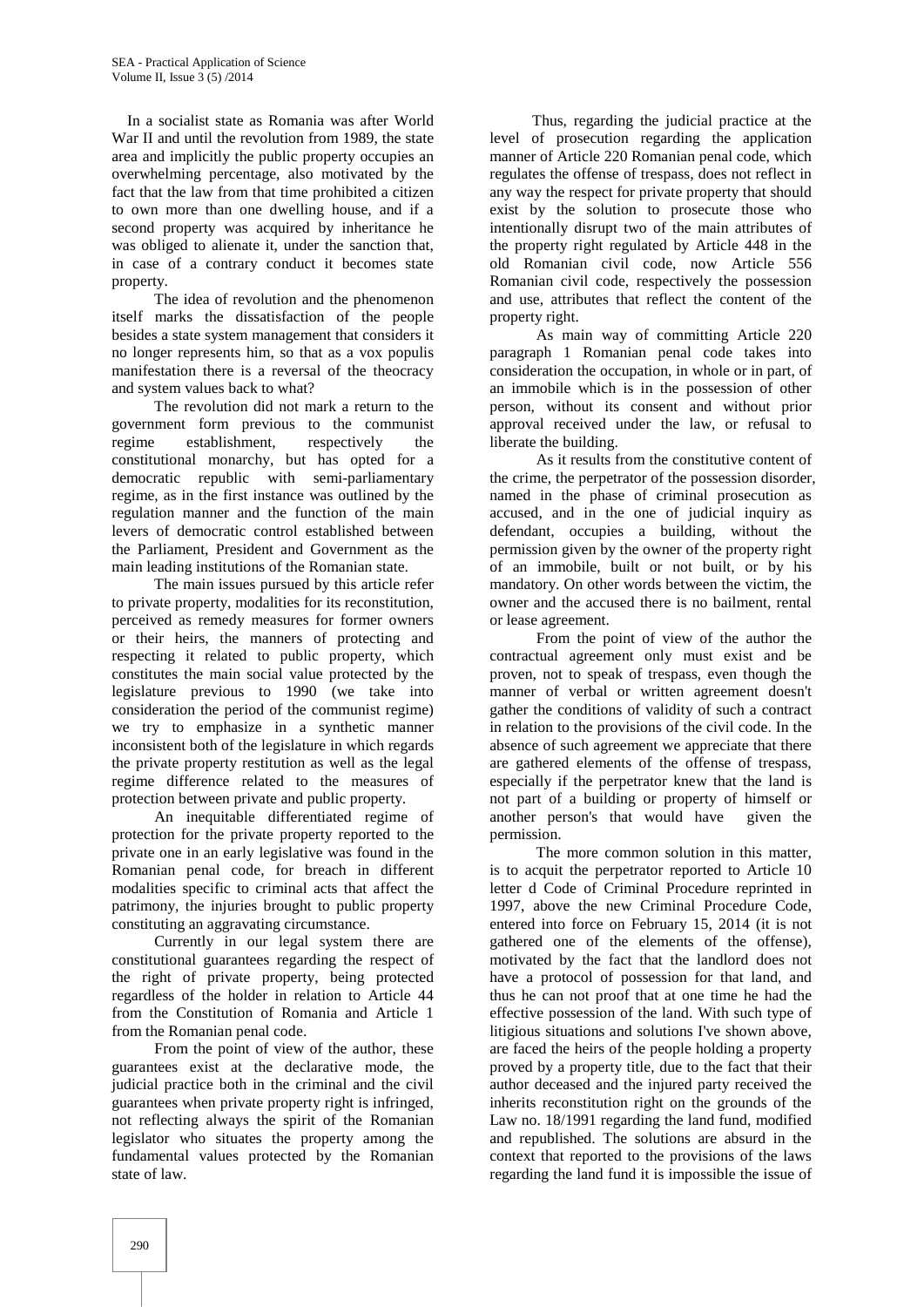In a socialist state as Romania was after World War II and until the revolution from 1989, the state area and implicitly the public property occupies an overwhelming percentage, also motivated by the fact that the law from that time prohibited a citizen to own more than one dwelling house, and if a second property was acquired by inheritance he was obliged to alienate it, under the sanction that, in case of a contrary conduct it becomes state property.

The idea of revolution and the phenomenon itself marks the dissatisfaction of the people besides a state system management that considers it no longer represents him, so that as a vox populis manifestation there is a reversal of the theocracy and system values back to what?

The revolution did not mark a return to the government form previous to the communist regime establishment, respectively the constitutional monarchy, but has opted for a democratic republic with semi-parliamentary regime, as in the first instance was outlined by the regulation manner and the function of the main levers of democratic control established between the Parliament, President and Government as the main leading institutions of the Romanian state.

The main issues pursued by this article refer to private property, modalities for its reconstitution, perceived as remedy measures for former owners or their heirs, the manners of protecting and respecting it related to public property, which constitutes the main social value protected by the legislature previous to 1990 (we take into consideration the period of the communist regime) we try to emphasize in a synthetic manner inconsistent both of the legislature in which regards the private property restitution as well as the legal regime difference related to the measures of protection between private and public property.

An inequitable differentiated regime of protection for the private property reported to the private one in an early legislative was found in the Romanian penal code, for breach in different modalities specific to criminal acts that affect the patrimony, the injuries brought to public property constituting an aggravating circumstance.

Currently in our legal system there are constitutional guarantees regarding the respect of the right of private property, being protected regardless of the holder in relation to Article 44 from the Constitution of Romania and Article 1 from the Romanian penal code.

From the point of view of the author, these guarantees exist at the declarative mode, the judicial practice both in the criminal and the civil guarantees when private property right is infringed, not reflecting always the spirit of the Romanian legislator who situates the property among the fundamental values protected by the Romanian state of law.

Thus, regarding the judicial practice at the level of prosecution regarding the application manner of Article 220 Romanian penal code, which regulates the offense of trespass, does not reflect in any way the respect for private property that should exist by the solution to prosecute those who intentionally disrupt two of the main attributes of the property right regulated by Article 448 in the old Romanian civil code, now Article 556 Romanian civil code, respectively the possession and use, attributes that reflect the content of the property right.

As main way of committing Article 220 paragraph 1 Romanian penal code takes into consideration the occupation, in whole or in part, of an immobile which is in the possession of other person, without its consent and without prior approval received under the law, or refusal to liberate the building.

As it results from the constitutive content of the crime, the perpetrator of the possession disorder, named in the phase of criminal prosecution as accused, and in the one of judicial inquiry as defendant, occupies a building, without the permission given by the owner of the property right of an immobile, built or not built, or by his mandatory. On other words between the victim, the owner and the accused there is no bailment, rental or lease agreement.

From the point of view of the author the contractual agreement only must exist and be proven, not to speak of trespass, even though the manner of verbal or written agreement doesn't gather the conditions of validity of such a contract in relation to the provisions of the civil code. In the absence of such agreement we appreciate that there are gathered elements of the offense of trespass, especially if the perpetrator knew that the land is not part of a building or property of himself or another person's that would have given the permission.

The more common solution in this matter, is to acquit the perpetrator reported to Article 10 letter d Code of Criminal Procedure reprinted in 1997, above the new Criminal Procedure Code, entered into force on February 15, 2014 (it is not gathered one of the elements of the offense), motivated by the fact that the landlord does not have a protocol of possession for that land, and thus he can not proof that at one time he had the effective possession of the land. With such type of litigious situations and solutions I've shown above, are faced the heirs of the people holding a property proved by a property title, due to the fact that their author deceased and the injured party received the inherits reconstitution right on the grounds of the Law no. 18/1991 regarding the land fund, modified and republished. The solutions are absurd in the context that reported to the provisions of the laws regarding the land fund it is impossible the issue of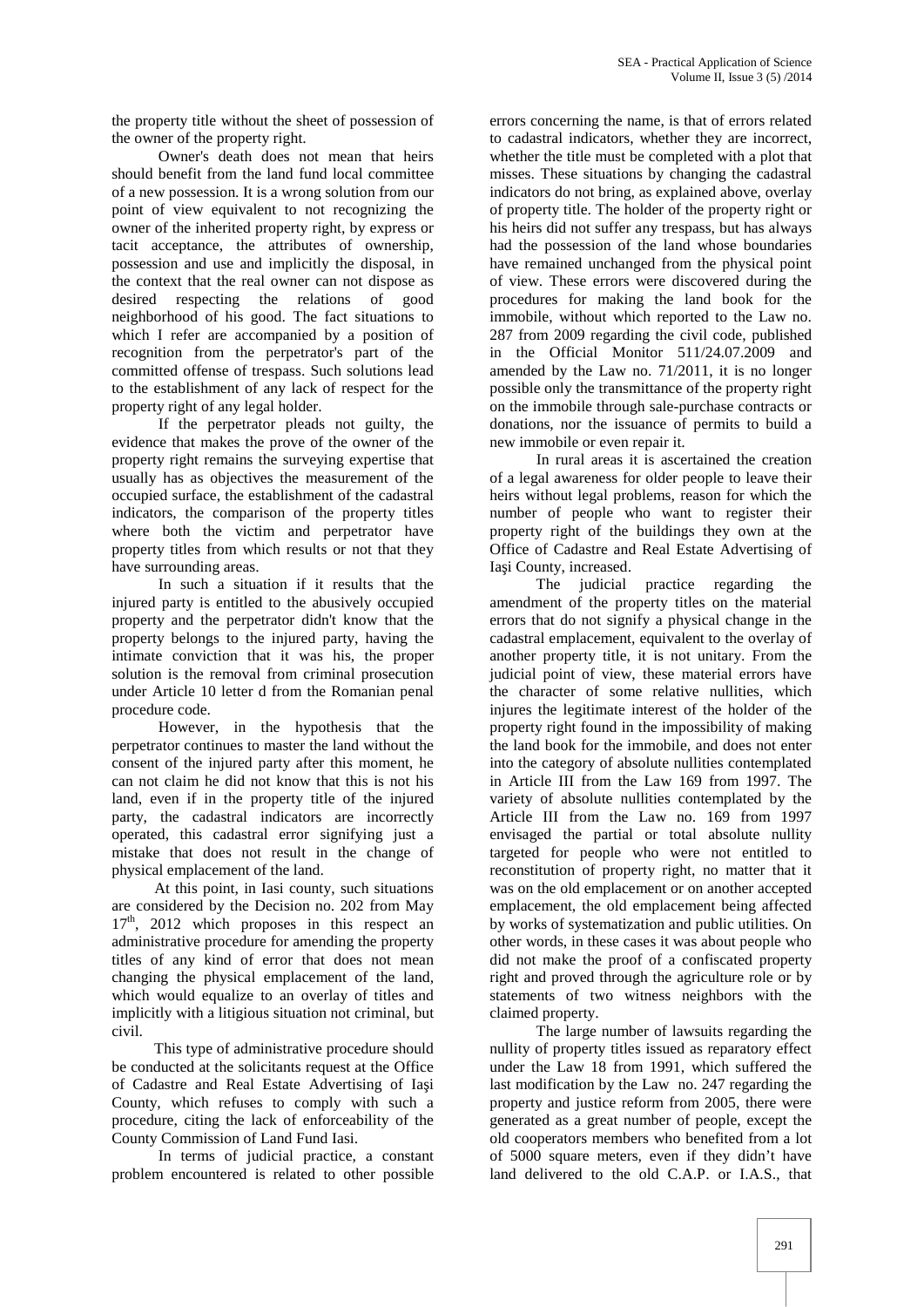the property title without the sheet of possession of the owner of the property right.

Owner's death does not mean that heirs should benefit from the land fund local committee of a new possession. It is a wrong solution from our point of view equivalent to not recognizing the owner of the inherited property right, by express or tacit acceptance, the attributes of ownership, possession and use and implicitly the disposal, in the context that the real owner can not dispose as desired respecting the relations of good neighborhood of his good. The fact situations to which I refer are accompanied by a position of recognition from the perpetrator's part of the committed offense of trespass. Such solutions lead to the establishment of any lack of respect for the property right of any legal holder.

If the perpetrator pleads not guilty, the evidence that makes the prove of the owner of the property right remains the surveying expertise that usually has as objectives the measurement of the occupied surface, the establishment of the cadastral indicators, the comparison of the property titles where both the victim and perpetrator have property titles from which results or not that they have surrounding areas.

In such a situation if it results that the injured party is entitled to the abusively occupied property and the perpetrator didn't know that the property belongs to the injured party, having the intimate conviction that it was his, the proper solution is the removal from criminal prosecution under Article 10 letter d from the Romanian penal procedure code.

However, in the hypothesis that the perpetrator continues to master the land without the consent of the injured party after this moment, he can not claim he did not know that this is not his land, even if in the property title of the injured party, the cadastral indicators are incorrectly operated, this cadastral error signifying just a mistake that does not result in the change of physical emplacement of the land.

At this point, in Iasi county, such situations are considered by the Decision no. 202 from May  $17<sup>th</sup>$ , 2012 which proposes in this respect an administrative procedure for amending the property titles of any kind of error that does not mean changing the physical emplacement of the land, which would equalize to an overlay of titles and implicitly with a litigious situation not criminal, but civil.

This type of administrative procedure should be conducted at the solicitants request at the Office of Cadastre and Real Estate Advertising of Ia i County, which refuses to comply with such a procedure, citing the lack of enforceability of the County Commission of Land Fund Iasi.

In terms of judicial practice, a constant problem encountered is related to other possible

errors concerning the name, is that of errors related to cadastral indicators, whether they are incorrect, whether the title must be completed with a plot that misses. These situations by changing the cadastral indicators do not bring, as explained above, overlay of property title. The holder of the property right or his heirs did not suffer any trespass, but has always had the possession of the land whose boundaries have remained unchanged from the physical point of view. These errors were discovered during the procedures for making the land book for the immobile, without which reported to the Law no. 287 from 2009 regarding the civil code, published in the Official Monitor 511/24.07.2009 and amended by the Law no. 71/2011, it is no longer possible only the transmittance of the property right on the immobile through sale-purchase contracts or donations, nor the issuance of permits to build a new immobile or even repair it.

In rural areas it is ascertained the creation of a legal awareness for older people to leave their heirs without legal problems, reason for which the number of people who want to register their property right of the buildings they own at the Office of Cadastre and Real Estate Advertising of Ia i County, increased.

The judicial practice regarding the amendment of the property titles on the material errors that do not signify a physical change in the cadastral emplacement, equivalent to the overlay of another property title, it is not unitary. From the judicial point of view, these material errors have the character of some relative nullities, which injures the legitimate interest of the holder of the property right found in the impossibility of making the land book for the immobile, and does not enter into the category of absolute nullities contemplated in Article III from the Law 169 from 1997. The variety of absolute nullities contemplated by the Article III from the Law no. 169 from 1997 envisaged the partial or total absolute nullity targeted for people who were not entitled to reconstitution of property right, no matter that it was on the old emplacement or on another accepted emplacement, the old emplacement being affected by works of systematization and public utilities. On other words, in these cases it was about people who did not make the proof of a confiscated property right and proved through the agriculture role or by statements of two witness neighbors with the claimed property.

The large number of lawsuits regarding the nullity of property titles issued as reparatory effect under the Law 18 from 1991, which suffered the last modification by the Law no. 247 regarding the property and justice reform from 2005, there were generated as a great number of people, except the old cooperators members who benefited from a lot of 5000 square meters, even if they didn't have land delivered to the old C.A.P. or I.A.S., that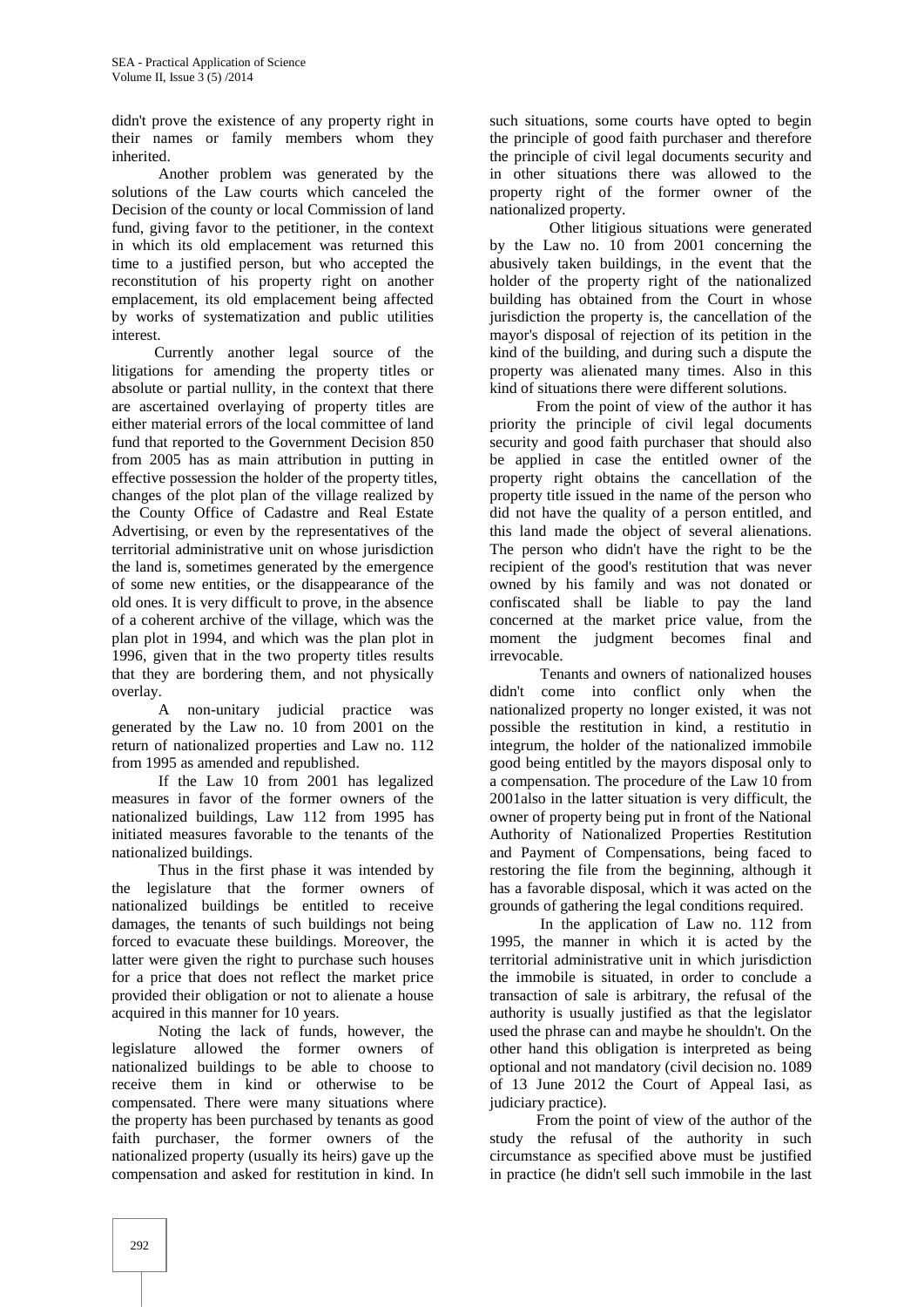didn't prove the existence of any property right in their names or family members whom they inherited.

Another problem was generated by the solutions of the Law courts which canceled the Decision of the county or local Commission of land fund, giving favor to the petitioner, in the context in which its old emplacement was returned this time to a justified person, but who accepted the reconstitution of his property right on another emplacement, its old emplacement being affected by works of systematization and public utilities interest.<br>Currently another legal source of the

litigations for amending the property titles or absolute or partial nullity, in the context that there are ascertained overlaying of property titles are either material errors of the local committee of land fund that reported to the Government Decision 850 from 2005 has as main attribution in putting in effective possession the holder of the property titles, changes of the plot plan of the village realized by the County Office of Cadastre and Real Estate Advertising, or even by the representatives of the territorial administrative unit on whose jurisdiction the land is, sometimes generated by the emergence of some new entities, or the disappearance of the old ones. It is very difficult to prove, in the absence of a coherent archive of the village, which was the plan plot in 1994, and which was the plan plot in 1996, given that in the two property titles results that they are bordering them, and not physically

overlay.A non-unitary judicial practice was generated by the Law no. 10 from 2001 on the return of nationalized properties and Law no. 112 from 1995 as amended and republished.

If the Law 10 from 2001 has legalized measures in favor of the former owners of the nationalized buildings, Law 112 from 1995 has initiated measures favorable to the tenants of the nationalized buildings.

Thus in the first phase it was intended by the legislature that the former owners of nationalized buildings be entitled to receive damages, the tenants of such buildings not being forced to evacuate these buildings. Moreover, the latter were given the right to purchase such houses for a price that does not reflect the market price provided their obligation or not to alienate a house acquired in this manner for 10 years.

Noting the lack of funds, however, the legislature allowed the former owners of nationalized buildings to be able to choose to receive them in kind or otherwise to be compensated. There were many situations where the property has been purchased by tenants as good faith purchaser, the former owners of the nationalized property (usually its heirs) gave up the compensation and asked for restitution in kind. In

such situations, some courts have opted to begin the principle of good faith purchaser and therefore the principle of civil legal documents security and in other situations there was allowed to the property right of the former owner of the nationalized property.

Other litigious situations were generated by the Law no. 10 from 2001 concerning the abusively taken buildings*,* in the event that the holder of the property right of the nationalized building has obtained from the Court in whose jurisdiction the property is, the cancellation of the mayor's disposal of rejection of its petition in the kind of the building, and during such a dispute the property was alienated many times. Also in this kind of situations there were different solutions.

From the point of view of the author it has priority the principle of civil legal documents security and good faith purchaser that should also be applied in case the entitled owner of the property right obtains the cancellation of the property title issued in the name of the person who did not have the quality of a person entitled, and this land made the object of several alienations. The person who didn't have the right to be the recipient of the good's restitution that was never owned by his family and was not donated or confiscated shall be liable to pay the land concerned at the market price value, from the moment the judgment becomes final and irrevocable.

Tenants and owners of nationalized houses didn't come into conflict only when the nationalized property no longer existed, it was not possible the restitution in kind, a restitutio in integrum, the holder of the nationalized immobile good being entitled by the mayors disposal only to a compensation. The procedure of the Law 10 from 2001also in the latter situation is very difficult, the owner of property being put in front of the National Authority of Nationalized Properties Restitution and Payment of Compensations, being faced to restoring the file from the beginning, although it has a favorable disposal, which it was acted on the grounds of gathering the legal conditions required.

In the application of Law no. 112 from 1995, the manner in which it is acted by the territorial administrative unit in which jurisdiction the immobile is situated, in order to conclude a transaction of sale is arbitrary, the refusal of the authority is usually justified as that the legislator used the phrase can and maybe he shouldn't. On the other hand this obligation is interpreted as being optional and not mandatory (civil decision no. 1089 of 13 June 2012 the Court of Appeal Iasi, as judiciary practice).

From the point of view of the author of the study the refusal of the authority in such circumstance as specified above must be justified in practice (he didn't sell such immobile in the last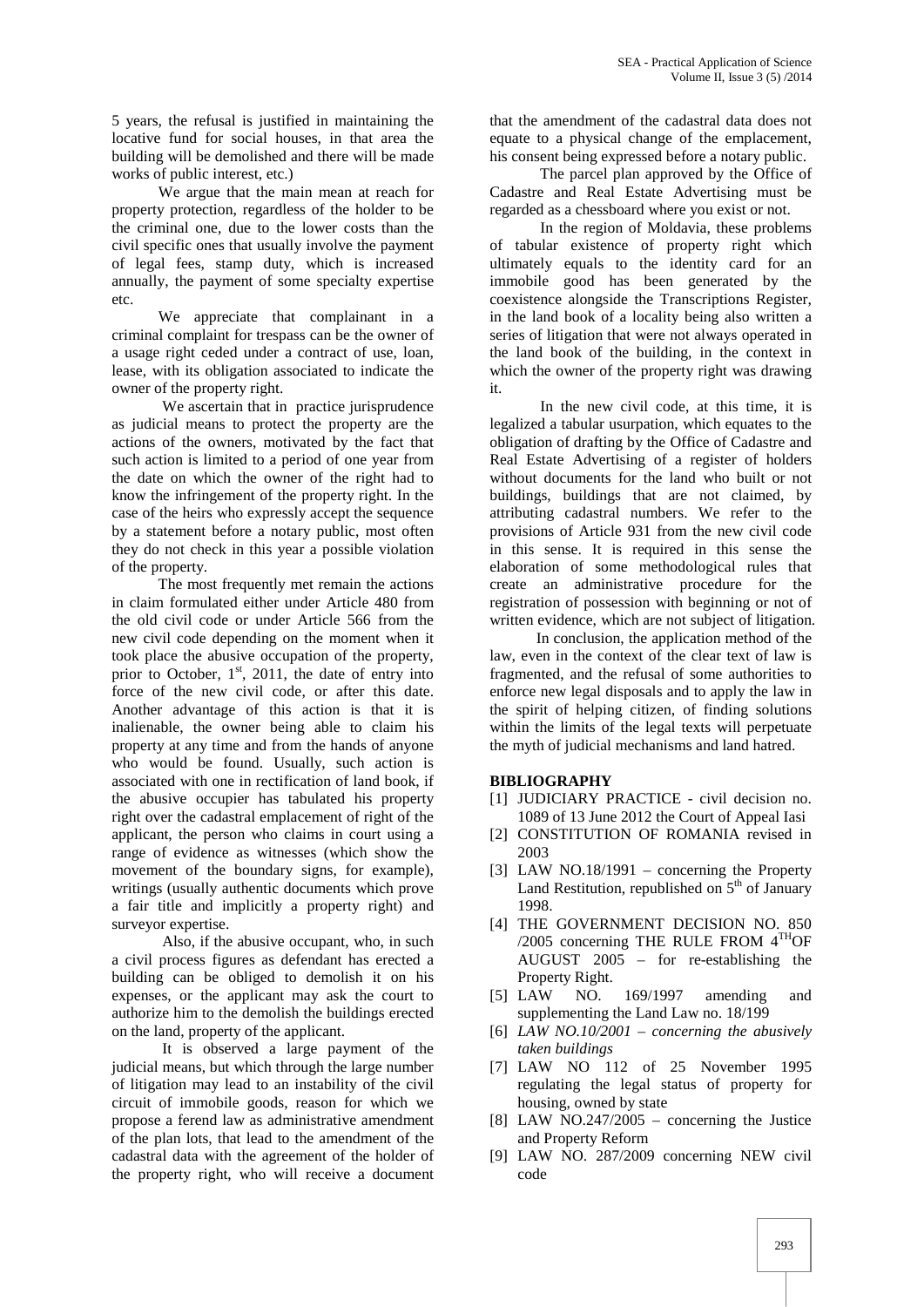5 years, the refusal is justified in maintaining the locative fund for social houses, in that area the building will be demolished and there will be made works of public interest, etc.)

We argue that the main mean at reach for property protection, regardless of the holder to be the criminal one, due to the lower costs than the civil specific ones that usually involve the payment of legal fees, stamp duty, which is increased annually, the payment of some specialty expertise etc.

We appreciate that complainant in a criminal complaint for trespass can be the owner of a usage right ceded under a contract of use, loan, lease, with its obligation associated to indicate the owner of the property right.

We ascertain that in practice jurisprudence as judicial means to protect the property are the actions of the owners, motivated by the fact that such action is limited to a period of one year from the date on which the owner of the right had to know the infringement of the property right. In the case of the heirs who expressly accept the sequence by a statement before a notary public, most often they do not check in this year a possible violation of the property.

The most frequently met remain the actions in claim formulated either under Article 480 from the old civil code or under Article 566 from the new civil code depending on the moment when it took place the abusive occupation of the property, prior to October,  $1<sup>st</sup>$ , 2011, the date of entry into force of the new civil code, or after this date. Another advantage of this action is that it is inalienable, the owner being able to claim his property at any time and from the hands of anyone who would be found. Usually, such action is associated with one in rectification of land book, if the abusive occupier has tabulated his property right over the cadastral emplacement of right of the applicant, the person who claims in court using a range of evidence as witnesses (which show the movement of the boundary signs, for example), writings (usually authentic documents which prove a fair title and implicitly a property right) and surveyor expertise.

Also, if the abusive occupant, who, in such a civil process figures as defendant has erected a building can be obliged to demolish it on his expenses, or the applicant may ask the court to [5] LAW authorize him to the demolish the buildings erected on the land, property of the applicant.

It is observed a large payment of the judicial means, but which through the large number of litigation may lead to an instability of the civil circuit of immobile goods, reason for which we propose a ferend law as administrative amendment of the plan lots, that lead to the amendment of the cadastral data with the agreement of the holder of the property right, who will receive a document

that the amendment of the cadastral data does not equate to a physical change of the emplacement, his consent being expressed before a notary public.

The parcel plan approved by the Office of Cadastre and Real Estate Advertising must be regarded as a chessboard where you exist or not.

In the region of Moldavia, these problems of tabular existence of property right which ultimately equals to the identity card for an immobile good has been generated by the coexistence alongside the Transcriptions Register, in the land book of a locality being also written a series of litigation that were not always operated in the land book of the building, in the context in which the owner of the property right was drawing it.

In the new civil code, at this time, it is legalized a tabular usurpation, which equates to the obligation of drafting by the Office of Cadastre and Real Estate Advertising of a register of holders without documents for the land who built or not buildings, buildings that are not claimed, by attributing cadastral numbers. We refer to the provisions of Article 931 from the new civil code in this sense. It is required in this sense the elaboration of some methodological rules that create an administrative procedure for the registration of possession with beginning or not of written evidence, which are not subject of litigation.

In conclusion, the application method of the law, even in the context of the clear text of law is fragmented, and the refusal of some authorities to enforce new legal disposals and to apply the law in the spirit of helping citizen, of finding solutions within the limits of the legal texts will perpetuate the myth of judicial mechanisms and land hatred.

## **BIBLIOGRAPHY**

- [1] JUDICIARY PRACTICE civil decision no. 1089 of 13 June 2012 the Court of Appeal Iasi
- [2] CONSTITUTION OF ROMANIA revised in 2003
- [3] LAW NO.18/1991 concerning the Property Land Restitution, republished on  $5<sup>th</sup>$  of January 1998.
- [4] THE GOVERNMENT DECISION NO. 850  $/2005$  concerning THE RULE FROM  $4^{TH}$ OF AUGUST 2005 – for re-establishing the Property Right.
- NO. 169/1997 amending and supplementing the Land Law no. 18/199
- [6] *LAW NO.10/2001 – concerning the abusively taken buildings*
- [7] LAW NO 112 of 25 November 1995 regulating the legal status of property for housing, owned by state
- [8] LAW NO.247/2005 concerning the Justice and Property Reform
- [9] LAW NO. 287/2009 concerning NEW civil code